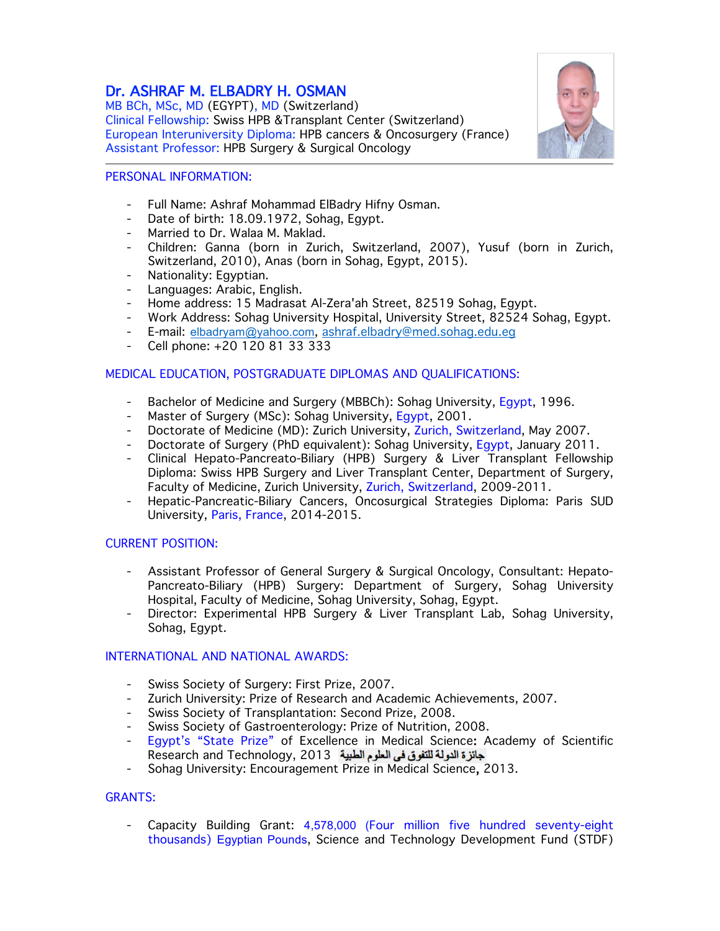# Dr. ASHRAF M. ELBADRY H. OSMAN

MB BCh, MSc, MD (EGYPT), MD (Switzerland) Clinical Fellowship: Swiss HPB &Transplant Center (Switzerland) European Interuniversity Diploma: HPB cancers & Oncosurgery (France) Assistant Professor: HPB Surgery & Surgical Oncology



#### PERSONAL INFORMATION:

- Full Name: Ashraf Mohammad ElBadry Hifny Osman.
- Date of birth: 18.09.1972, Sohag, Egypt.
- Married to Dr. Walaa M. Maklad.
- Children: Ganna (born in Zurich, Switzerland, 2007), Yusuf (born in Zurich, Switzerland, 2010), Anas (born in Sohag, Egypt, 2015).
- Nationality: Egyptian.
- Languages: Arabic, English.
- Home address: 15 Madrasat Al-Zera'ah Street, 82519 Sohag, Egypt.
- Work Address: Sohag University Hospital, University Street, 82524 Sohag, Egypt.
- E-mail: elbadryam@yahoo.com, ashraf.elbadry@med.sohag.edu.eg
- Cell phone: +20 120 81 33 333

### MEDICAL EDUCATION, POSTGRADUATE DIPLOMAS AND QUALIFICATIONS:

- Bachelor of Medicine and Surgery (MBBCh): Sohag University, Egypt, 1996.
- Master of Surgery (MSc): Sohag University, Egypt, 2001.
- Doctorate of Medicine (MD): Zurich University, Zurich, Switzerland, May 2007.
- Doctorate of Surgery (PhD equivalent): Sohag University, Egypt, January 2011.
- Clinical Hepato-Pancreato-Biliary (HPB) Surgery & Liver Transplant Fellowship Diploma: Swiss HPB Surgery and Liver Transplant Center, Department of Surgery, Faculty of Medicine, Zurich University, Zurich, Switzerland, 2009-2011.
- Hepatic-Pancreatic-Biliary Cancers, Oncosurgical Strategies Diploma: Paris SUD University, Paris, France, 2014-2015.

### CURRENT POSITION:

- Assistant Professor of General Surgery & Surgical Oncology, Consultant: Hepato-Pancreato-Biliary (HPB) Surgery: Department of Surgery, Sohag University Hospital, Faculty of Medicine, Sohag University, Sohag, Egypt.
- Director: Experimental HPB Surgery & Liver Transplant Lab, Sohag University, Sohag, Egypt.

### INTERNATIONAL AND NATIONAL AWARDS:

- Swiss Society of Surgery: First Prize, 2007.
- Zurich University: Prize of Research and Academic Achievements, 2007.
- Swiss Society of Transplantation: Second Prize, 2008.
- Swiss Society of Gastroenterology: Prize of Nutrition, 2008.
- Egypt's "State Prize" of Excellence in Medical Science: Academy of Scientific Research and Technology, 2013
- Sohag University: Encouragement Prize in Medical Science, 2013.

### GRANTS:

- Capacity Building Grant: 4,578,000 (Four million five hundred seventy-eight thousands) Egyptian Pounds, Science and Technology Development Fund (STDF)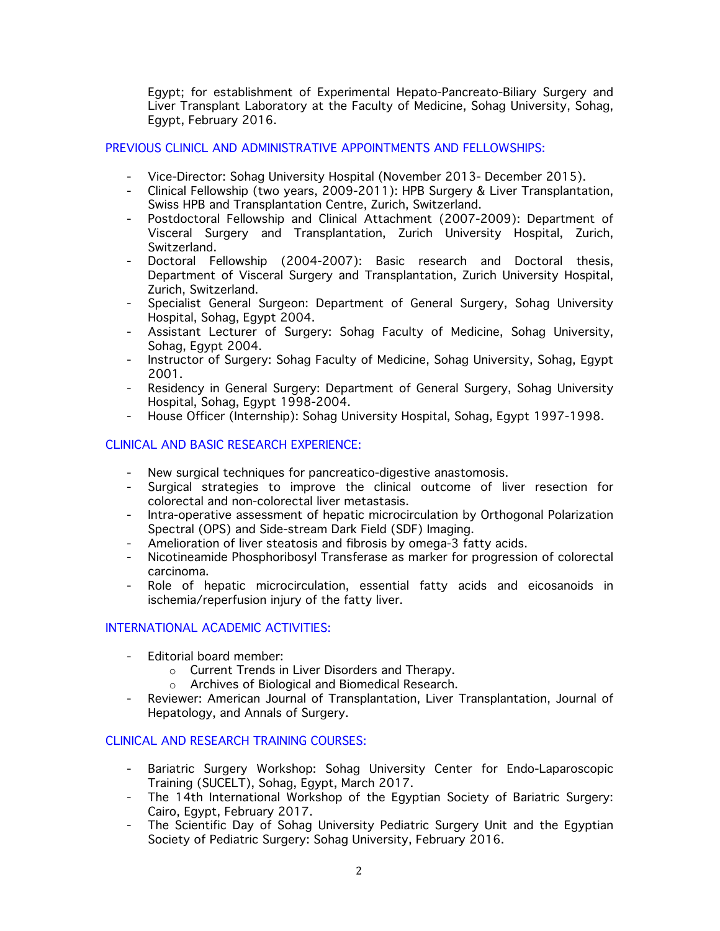Egypt; for establishment of Experimental Hepato-Pancreato-Biliary Surgery and Liver Transplant Laboratory at the Faculty of Medicine, Sohag University, Sohag, Egypt, February 2016.

# PREVIOUS CLINICL AND ADMINISTRATIVE APPOINTMENTS AND FELLOWSHIPS:

- Vice-Director: Sohag University Hospital (November 2013- December 2015).
- Clinical Fellowship (two years, 2009-2011): HPB Surgery & Liver Transplantation, Swiss HPB and Transplantation Centre, Zurich, Switzerland.
- Postdoctoral Fellowship and Clinical Attachment (2007-2009): Department of Visceral Surgery and Transplantation, Zurich University Hospital, Zurich, Switzerland.
- Doctoral Fellowship (2004-2007): Basic research and Doctoral thesis, Department of Visceral Surgery and Transplantation, Zurich University Hospital, Zurich, Switzerland.
- Specialist General Surgeon: Department of General Surgery, Sohag University Hospital, Sohag, Egypt 2004.
- Assistant Lecturer of Surgery: Sohag Faculty of Medicine, Sohag University, Sohag, Egypt 2004.
- Instructor of Surgery: Sohag Faculty of Medicine, Sohag University, Sohag, Egypt 2001.
- Residency in General Surgery: Department of General Surgery, Sohag University Hospital, Sohag, Egypt 1998-2004.
- House Officer (Internship): Sohag University Hospital, Sohag, Egypt 1997-1998.

### CLINICAL AND BASIC RESEARCH EXPERIENCE:

- New surgical techniques for pancreatico-digestive anastomosis.
- Surgical strategies to improve the clinical outcome of liver resection for colorectal and non-colorectal liver metastasis.
- Intra-operative assessment of hepatic microcirculation by Orthogonal Polarization Spectral (OPS) and Side-stream Dark Field (SDF) Imaging.
- Amelioration of liver steatosis and fibrosis by omega-3 fatty acids.
- Nicotineamide Phosphoribosyl Transferase as marker for progression of colorectal carcinoma.
- Role of hepatic microcirculation, essential fatty acids and eicosanoids in ischemia/reperfusion injury of the fatty liver.

### INTERNATIONAL ACADEMIC ACTIVITIES:

- Editorial board member:
	- o Current Trends in Liver Disorders and Therapy.
	- o Archives of Biological and Biomedical Research.
- Reviewer: American Journal of Transplantation, Liver Transplantation, Journal of Hepatology, and Annals of Surgery.

## CLINICAL AND RESEARCH TRAINING COURSES:

- Bariatric Surgery Workshop: Sohag University Center for Endo-Laparoscopic Training (SUCELT), Sohag, Egypt, March 2017.
- The 14th International Workshop of the Egyptian Society of Bariatric Surgery: Cairo, Egypt, February 2017.
- The Scientific Day of Sohag University Pediatric Surgery Unit and the Egyptian Society of Pediatric Surgery: Sohag University, February 2016.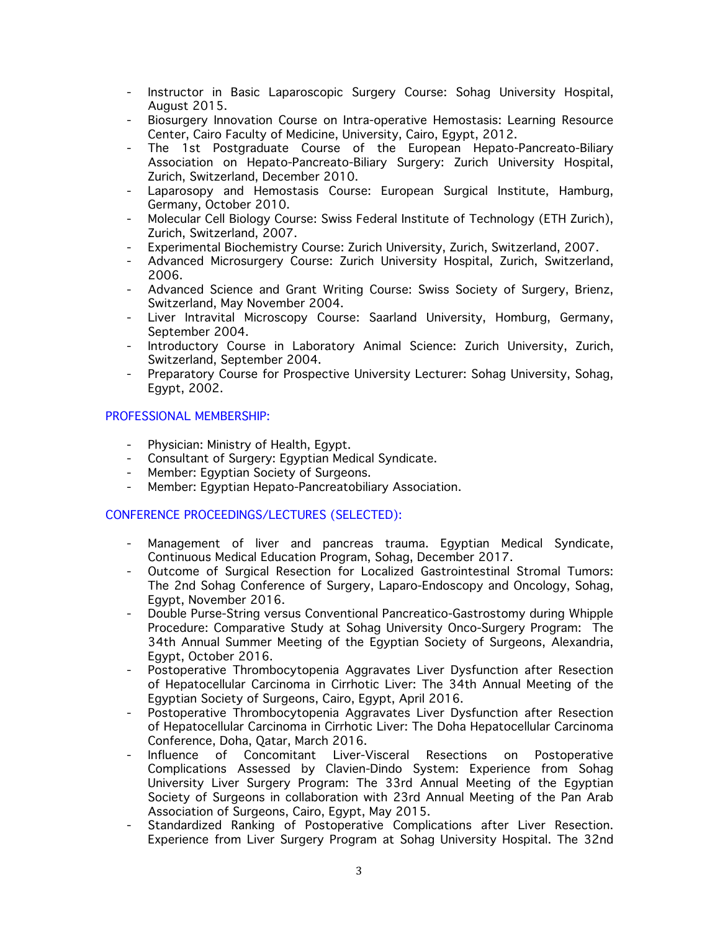- Instructor in Basic Laparoscopic Surgery Course: Sohag University Hospital, August 2015.
- Biosurgery Innovation Course on Intra-operative Hemostasis: Learning Resource Center, Cairo Faculty of Medicine, University, Cairo, Egypt, 2012.
- The 1st Postgraduate Course of the European Hepato-Pancreato-Biliary Association on Hepato-Pancreato-Biliary Surgery: Zurich University Hospital, Zurich, Switzerland, December 2010.
- Laparosopy and Hemostasis Course: European Surgical Institute, Hamburg, Germany, October 2010.
- Molecular Cell Biology Course: Swiss Federal Institute of Technology (ETH Zurich), Zurich, Switzerland, 2007.
- Experimental Biochemistry Course: Zurich University, Zurich, Switzerland, 2007.
- Advanced Microsurgery Course: Zurich University Hospital, Zurich, Switzerland, 2006.
- Advanced Science and Grant Writing Course: Swiss Society of Surgery, Brienz, Switzerland, May November 2004.
- Liver Intravital Microscopy Course: Saarland University, Homburg, Germany, September 2004.
- Introductory Course in Laboratory Animal Science: Zurich University, Zurich, Switzerland, September 2004.
- Preparatory Course for Prospective University Lecturer: Sohag University, Sohag, Egypt, 2002.

### PROFESSIONAL MEMBERSHIP:

- Physician: Ministry of Health, Egypt.
- Consultant of Surgery: Egyptian Medical Syndicate.
- Member: Egyptian Society of Surgeons.
- Member: Egyptian Hepato-Pancreatobiliary Association.

### CONFERENCE PROCEEDINGS/LECTURES (SELECTED):

- Management of liver and pancreas trauma. Egyptian Medical Syndicate, Continuous Medical Education Program, Sohag, December 2017.
- Outcome of Surgical Resection for Localized Gastrointestinal Stromal Tumors: The 2nd Sohag Conference of Surgery, Laparo-Endoscopy and Oncology, Sohag, Egypt, November 2016.
- Double Purse-String versus Conventional Pancreatico-Gastrostomy during Whipple Procedure: Comparative Study at Sohag University Onco-Surgery Program: The 34th Annual Summer Meeting of the Egyptian Society of Surgeons, Alexandria, Egypt, October 2016.
- Postoperative Thrombocytopenia Aggravates Liver Dysfunction after Resection of Hepatocellular Carcinoma in Cirrhotic Liver: The 34th Annual Meeting of the Egyptian Society of Surgeons, Cairo, Egypt, April 2016.
- Postoperative Thrombocytopenia Aggravates Liver Dysfunction after Resection of Hepatocellular Carcinoma in Cirrhotic Liver: The Doha Hepatocellular Carcinoma Conference, Doha, Qatar, March 2016.
- Influence of Concomitant Liver-Visceral Resections on Postoperative Complications Assessed by Clavien-Dindo System: Experience from Sohag University Liver Surgery Program: The 33rd Annual Meeting of the Egyptian Society of Surgeons in collaboration with 23rd Annual Meeting of the Pan Arab Association of Surgeons, Cairo, Egypt, May 2015.
- Standardized Ranking of Postoperative Complications after Liver Resection. Experience from Liver Surgery Program at Sohag University Hospital. The 32nd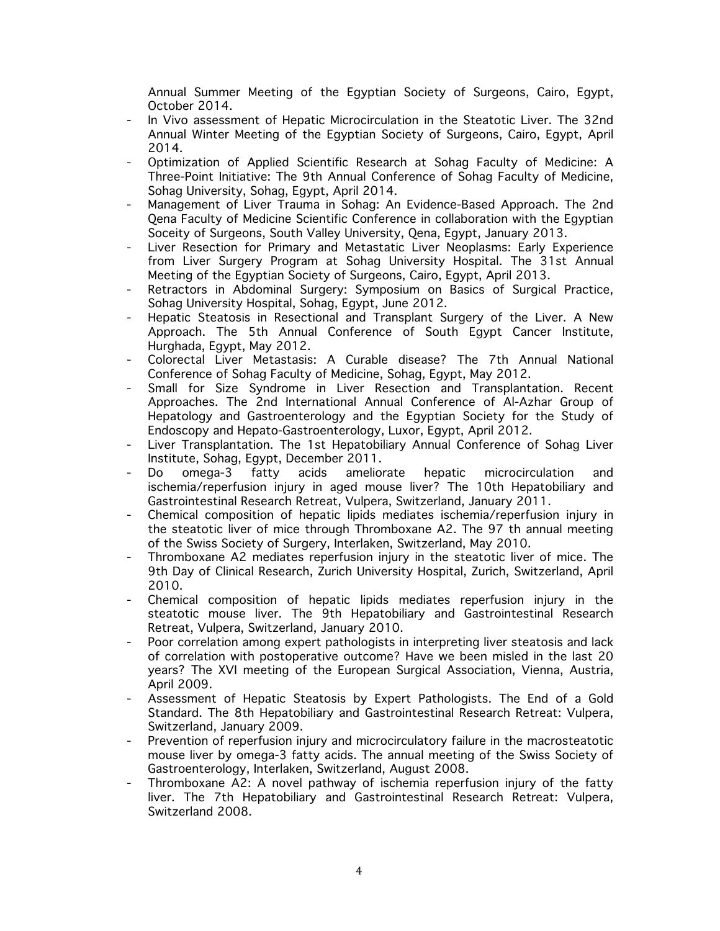Annual Summer Meeting of the Egyptian Society of Surgeons, Cairo, Egypt, October 2014.

- In Vivo assessment of Hepatic Microcirculation in the Steatotic Liver. The 32nd Annual Winter Meeting of the Egyptian Society of Surgeons, Cairo, Egypt, April 2014.
- Optimization of Applied Scientific Research at Sohag Faculty of Medicine: A Three-Point Initiative: The 9th Annual Conference of Sohag Faculty of Medicine, Sohag University, Sohag, Egypt, April 2014.
- Management of Liver Trauma in Sohag: An Evidence-Based Approach. The 2nd Qena Faculty of Medicine Scientific Conference in collaboration with the Egyptian Soceity of Surgeons, South Valley University, Qena, Egypt, January 2013.
- Liver Resection for Primary and Metastatic Liver Neoplasms: Early Experience from Liver Surgery Program at Sohag University Hospital. The 31st Annual Meeting of the Egyptian Society of Surgeons, Cairo, Egypt, April 2013.
- Retractors in Abdominal Surgery: Symposium on Basics of Surgical Practice, Sohag University Hospital, Sohag, Egypt, June 2012.
- Hepatic Steatosis in Resectional and Transplant Surgery of the Liver. A New Approach. The 5th Annual Conference of South Egypt Cancer Institute, Hurghada, Egypt, May 2012.
- Colorectal Liver Metastasis: A Curable disease? The 7th Annual National Conference of Sohag Faculty of Medicine, Sohag, Egypt, May 2012.
- Small for Size Syndrome in Liver Resection and Transplantation. Recent Approaches. The 2nd International Annual Conference of Al-Azhar Group of Hepatology and Gastroenterology and the Egyptian Society for the Study of Endoscopy and Hepato-Gastroenterology, Luxor, Egypt, April 2012.
- Liver Transplantation. The 1st Hepatobiliary Annual Conference of Sohag Liver Institute, Sohag, Egypt, December 2011.
- Do omega-3 fatty acids ameliorate hepatic microcirculation and ischemia/reperfusion injury in aged mouse liver? The 10th Hepatobiliary and Gastrointestinal Research Retreat, Vulpera, Switzerland, January 2011.
- Chemical composition of hepatic lipids mediates ischemia/reperfusion injury in the steatotic liver of mice through Thromboxane A2. The 97 th annual meeting of the Swiss Society of Surgery, Interlaken, Switzerland, May 2010.
- Thromboxane A2 mediates reperfusion injury in the steatotic liver of mice. The 9th Day of Clinical Research, Zurich University Hospital, Zurich, Switzerland, April 2010.
- Chemical composition of hepatic lipids mediates reperfusion injury in the steatotic mouse liver. The 9th Hepatobiliary and Gastrointestinal Research Retreat, Vulpera, Switzerland, January 2010.
- Poor correlation among expert pathologists in interpreting liver steatosis and lack of correlation with postoperative outcome? Have we been misled in the last 20 years? The XVI meeting of the European Surgical Association, Vienna, Austria, April 2009.
- Assessment of Hepatic Steatosis by Expert Pathologists. The End of a Gold Standard. The 8th Hepatobiliary and Gastrointestinal Research Retreat: Vulpera, Switzerland, January 2009.
- Prevention of reperfusion injury and microcirculatory failure in the macrosteatotic mouse liver by omega-3 fatty acids. The annual meeting of the Swiss Society of Gastroenterology, Interlaken, Switzerland, August 2008.
- Thromboxane A2: A novel pathway of ischemia reperfusion injury of the fatty liver. The 7th Hepatobiliary and Gastrointestinal Research Retreat: Vulpera, Switzerland 2008.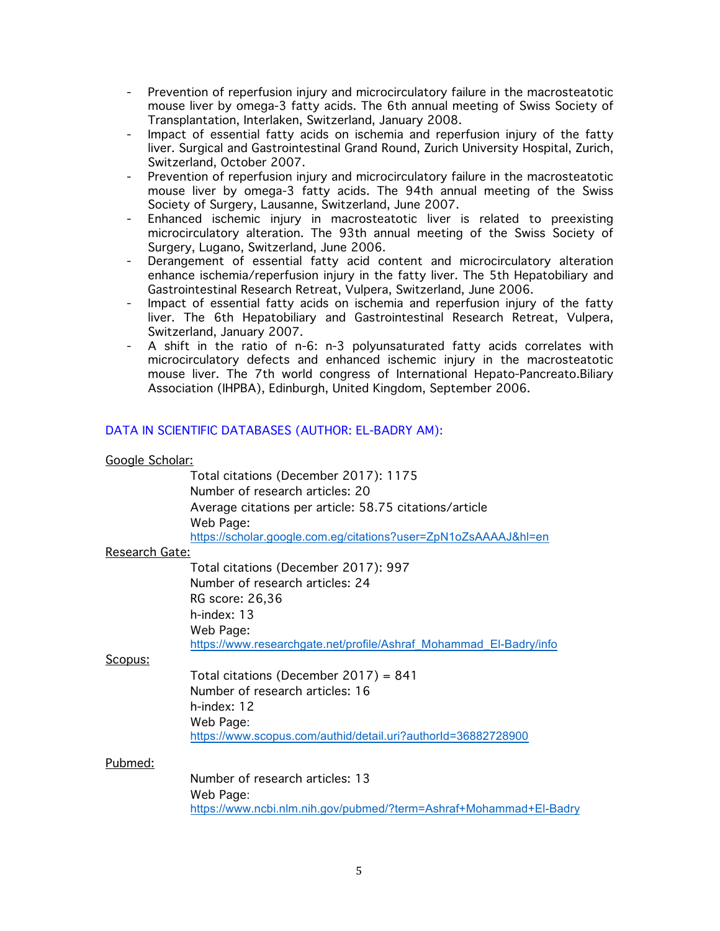- Prevention of reperfusion injury and microcirculatory failure in the macrosteatotic mouse liver by omega-3 fatty acids. The 6th annual meeting of Swiss Society of Transplantation, Interlaken, Switzerland, January 2008.
- Impact of essential fatty acids on ischemia and reperfusion injury of the fatty liver. Surgical and Gastrointestinal Grand Round, Zurich University Hospital, Zurich, Switzerland, October 2007.
- Prevention of reperfusion injury and microcirculatory failure in the macrosteatotic mouse liver by omega-3 fatty acids. The 94th annual meeting of the Swiss Society of Surgery, Lausanne, Switzerland, June 2007.
- Enhanced ischemic injury in macrosteatotic liver is related to preexisting microcirculatory alteration. The 93th annual meeting of the Swiss Society of Surgery, Lugano, Switzerland, June 2006.
- Derangement of essential fatty acid content and microcirculatory alteration enhance ischemia/reperfusion injury in the fatty liver. The 5th Hepatobiliary and Gastrointestinal Research Retreat, Vulpera, Switzerland, June 2006.
- Impact of essential fatty acids on ischemia and reperfusion injury of the fatty liver. The 6th Hepatobiliary and Gastrointestinal Research Retreat, Vulpera, Switzerland, January 2007.
- A shift in the ratio of n-6: n-3 polyunsaturated fatty acids correlates with microcirculatory defects and enhanced ischemic injury in the macrosteatotic mouse liver. The 7th world congress of International Hepato-Pancreato.Biliary Association (IHPBA), Edinburgh, United Kingdom, September 2006.

# DATA IN SCIENTIFIC DATABASES (AUTHOR: EL-BADRY AM):

#### Google Scholar:

Total citations (December 2017): 1175 Number of research articles: 20 Average citations per article: 58.75 citations/article Web Page:

# https://scholar.google.com.eg/citations?user=ZpN1oZsAAAAJ&hl=en

### Research Gate:

Total citations (December 2017): 997 Number of research articles: 24 RG score: 26,36 h-index: 13 Web Page: https://www.researchgate.net/profile/Ashraf\_Mohammad\_El-Badry/info

#### Scopus:

Total citations (December 2017) = 841 Number of research articles: 16 h-index: 12 Web Page: https://www.scopus.com/authid/detail.uri?authorId=36882728900

#### Pubmed:

Number of research articles: 13 Web Page: https://www.ncbi.nlm.nih.gov/pubmed/?term=Ashraf+Mohammad+El-Badry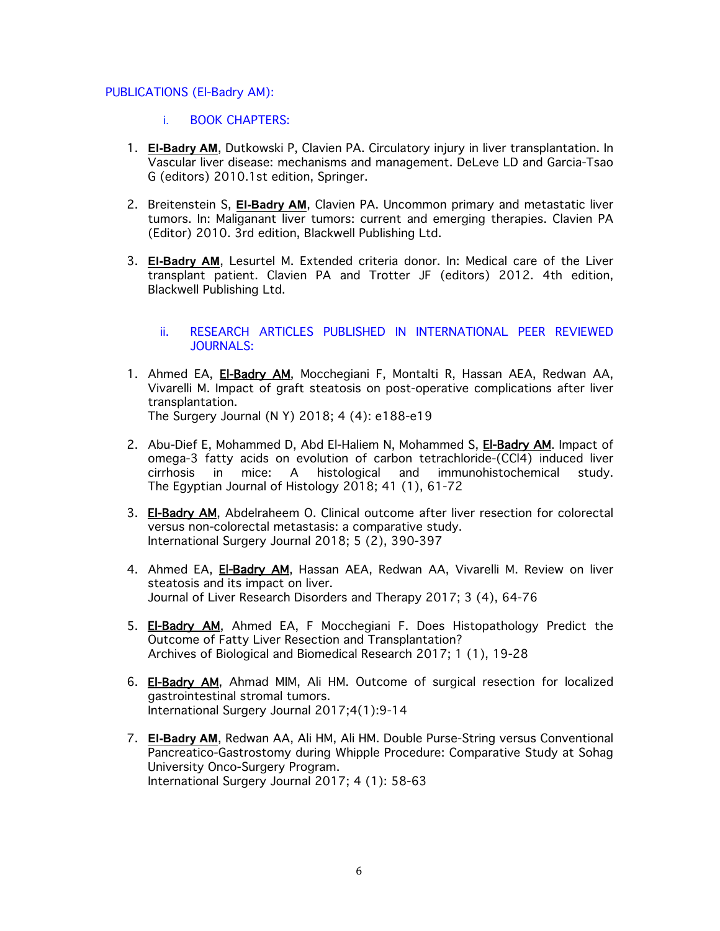#### PUBLICATIONS (El-Badry AM):

- i. BOOK CHAPTERS:
- 1. **El-Badry AM**, Dutkowski P, Clavien PA. Circulatory injury in liver transplantation. In Vascular liver disease: mechanisms and management. DeLeve LD and Garcia-Tsao G (editors) 2010.1st edition, Springer.
- 2. Breitenstein S, **El-Badry AM**, Clavien PA. Uncommon primary and metastatic liver tumors. In: Maliganant liver tumors: current and emerging therapies. Clavien PA (Editor) 2010. 3rd edition, Blackwell Publishing Ltd.
- 3. **El-Badry AM**, Lesurtel M. Extended criteria donor. In: Medical care of the Liver transplant patient. Clavien PA and Trotter JF (editors) 2012. 4th edition, Blackwell Publishing Ltd.

#### ii. RESEARCH ARTICLES PUBLISHED IN INTERNATIONAL PEER REVIEWED JOURNALS:

- 1. Ahmed EA, El-Badry AM, Mocchegiani F, Montalti R, Hassan AEA, Redwan AA, Vivarelli M. Impact of graft steatosis on post-operative complications after liver transplantation. The Surgery Journal (N Y) 2018; 4 (4): e188-e19
- 2. Abu-Dief E, Mohammed D, Abd El-Haliem N, Mohammed S, El-Badry AM. Impact of omega-3 fatty acids on evolution of carbon tetrachloride-(CCl4) induced liver cirrhosis in mice: A histological and immunohistochemical study. The Egyptian Journal of Histology 2018; 41 (1), 61-72
- 3. El-Badry AM, Abdelraheem O. Clinical outcome after liver resection for colorectal versus non-colorectal metastasis: a comparative study. International Surgery Journal 2018; 5 (2), 390-397
- 4. Ahmed EA, El-Badry AM, Hassan AEA, Redwan AA, Vivarelli M. Review on liver steatosis and its impact on liver. Journal of Liver Research Disorders and Therapy 2017; 3 (4), 64-76
- 5. El-Badry AM, Ahmed EA, F Mocchegiani F. Does Histopathology Predict the Outcome of Fatty Liver Resection and Transplantation? Archives of Biological and Biomedical Research 2017; 1 (1), 19-28
- 6. **El-Badry AM**, Ahmad MIM, Ali HM. Outcome of surgical resection for localized gastrointestinal stromal tumors. International Surgery Journal 2017;4(1):9-14
- 7. **El-Badry AM**, Redwan AA, Ali HM, Ali HM. Double Purse-String versus Conventional Pancreatico-Gastrostomy during Whipple Procedure: Comparative Study at Sohag University Onco-Surgery Program. International Surgery Journal 2017; 4 (1): 58-63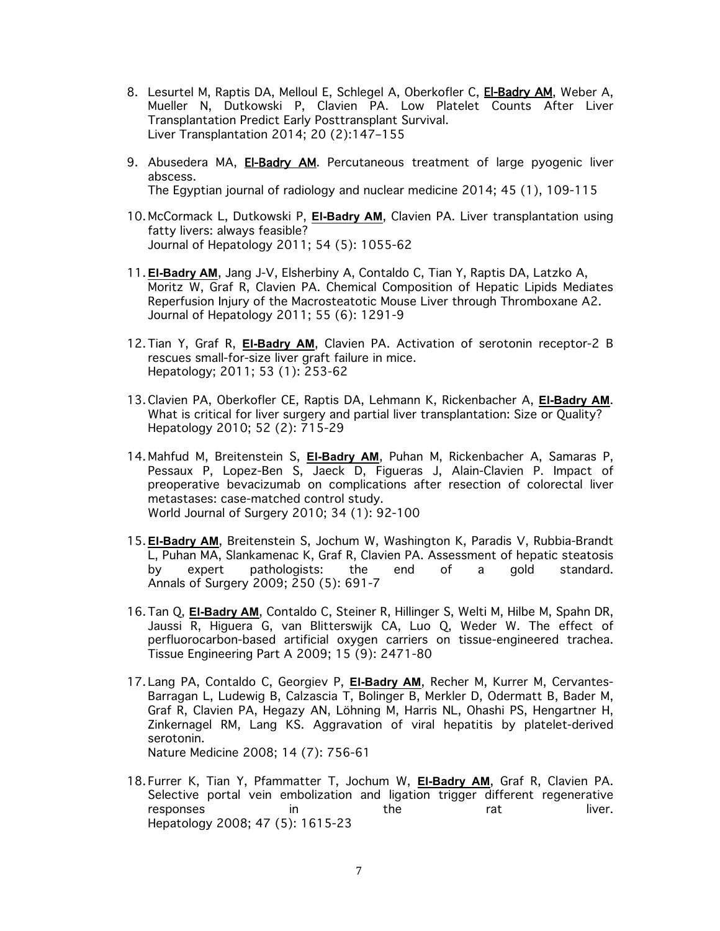- 8. Lesurtel M, Raptis DA, Melloul E, Schlegel A, Oberkofler C, El-Badry AM, Weber A, Mueller N, Dutkowski P, Clavien PA. Low Platelet Counts After Liver Transplantation Predict Early Posttransplant Survival. Liver Transplantation 2014; 20 (2):147–155
- 9. Abusedera MA, El-Badry AM. Percutaneous treatment of large pyogenic liver abscess. The Egyptian journal of radiology and nuclear medicine 2014; 45 (1), 109-115
- 10. McCormack L, Dutkowski P, **El-Badry AM**, Clavien PA. Liver transplantation using fatty livers: always feasible? Journal of Hepatology 2011; 54 (5): 1055-62
- 11. **El-Badry AM**, Jang J-V, Elsherbiny A, Contaldo C, Tian Y, Raptis DA, Latzko A, Moritz W, Graf R, Clavien PA. Chemical Composition of Hepatic Lipids Mediates Reperfusion Injury of the Macrosteatotic Mouse Liver through Thromboxane A2. Journal of Hepatology 2011; 55 (6): 1291-9
- 12. Tian Y, Graf R, **El-Badry AM**, Clavien PA. Activation of serotonin receptor-2 B rescues small-for-size liver graft failure in mice. Hepatology; 2011; 53 (1): 253-62
- 13. Clavien PA, Oberkofler CE, Raptis DA, Lehmann K, Rickenbacher A, **El-Badry AM**. What is critical for liver surgery and partial liver transplantation: Size or Quality? Hepatology 2010; 52 (2): 715-29
- 14. Mahfud M, Breitenstein S, **El-Badry AM**, Puhan M, Rickenbacher A, Samaras P, Pessaux P, Lopez-Ben S, Jaeck D, Figueras J, Alain-Clavien P. Impact of preoperative bevacizumab on complications after resection of colorectal liver metastases: case-matched control study. World Journal of Surgery 2010; 34 (1): 92-100
- 15. **El-Badry AM**, Breitenstein S, Jochum W, Washington K, Paradis V, Rubbia-Brandt L, Puhan MA, Slankamenac K, Graf R, Clavien PA. Assessment of hepatic steatosis by expert pathologists: the end of a gold standard. Annals of Surgery 2009; 250 (5): 691-7
- 16. Tan Q, **El-Badry AM**, Contaldo C, Steiner R, Hillinger S, Welti M, Hilbe M, Spahn DR, Jaussi R, Higuera G, van Blitterswijk CA, Luo Q, Weder W. The effect of perfluorocarbon-based artificial oxygen carriers on tissue-engineered trachea. Tissue Engineering Part A 2009; 15 (9): 2471-80
- 17. Lang PA, Contaldo C, Georgiev P, **El-Badry AM**, Recher M, Kurrer M, Cervantes-Barragan L, Ludewig B, Calzascia T, Bolinger B, Merkler D, Odermatt B, Bader M, Graf R, Clavien PA, Hegazy AN, Löhning M, Harris NL, Ohashi PS, Hengartner H, Zinkernagel RM, Lang KS. Aggravation of viral hepatitis by platelet-derived serotonin. Nature Medicine 2008; 14 (7): 756-61
- 18. Furrer K, Tian Y, Pfammatter T, Jochum W, **El-Badry AM**, Graf R, Clavien PA. Selective portal vein embolization and ligation trigger different regenerative responses in the rat liver. Hepatology 2008; 47 (5): 1615-23